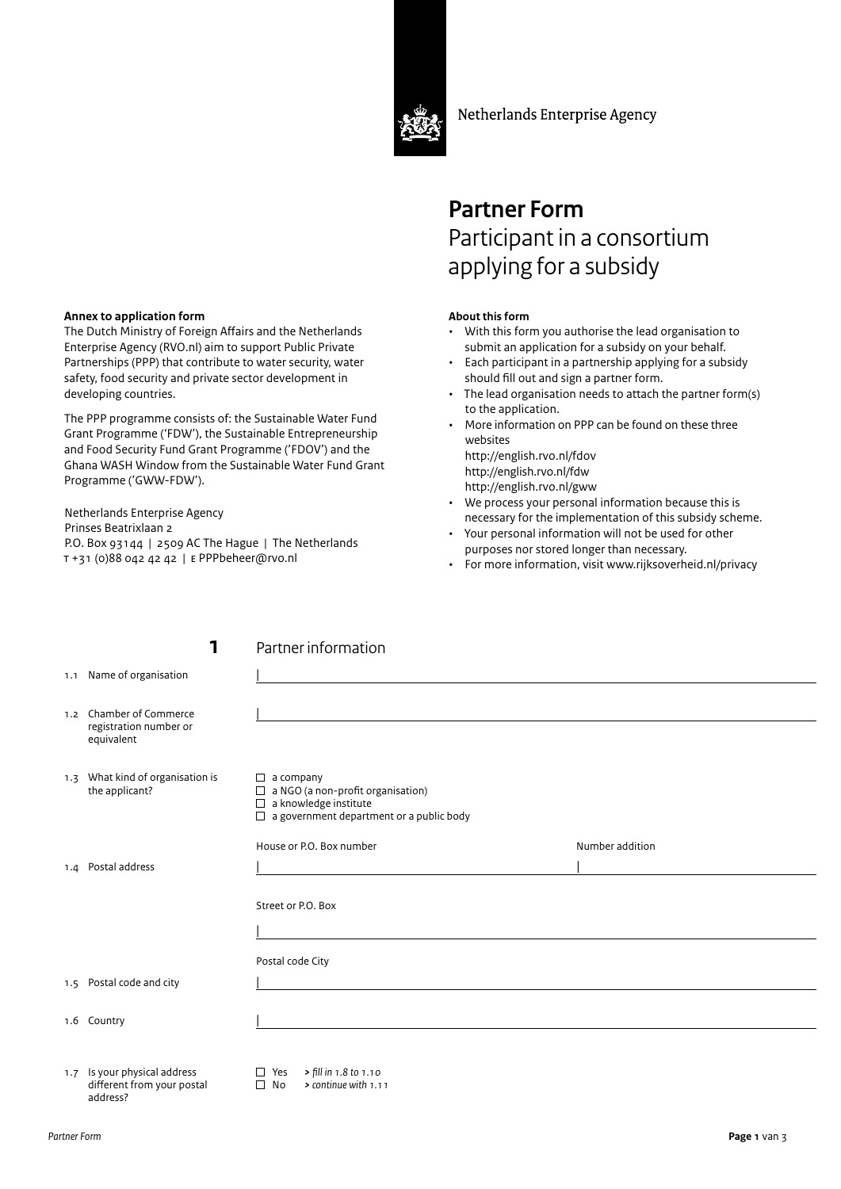

Netherlands Enterprise Agency

# **Partner Form** Participant in a consortium applying for a subsidy

### **About this form**

- With this form you authorise the lead organisation to submit an application for a subsidy on your behalf.
- Each participant in a partnership applying for a subsidy should fill out and sign a partner form.
- The lead organisation needs to attach the partner form(s) to the application.
- More information on PPP can be found on these three websites

http://english.rvo.nl/fdov http://english.rvo.nl/fdw http://english.rvo.nl/gww

- We process your personal information because this is necessary for the implementation of this subsidy scheme.
- Your personal information will not be used for other purposes nor stored longer than necessary.
- For more information, visit www.rijksoverheid.nl/privacy

#### **Annex to application form**

1.1 Name of organisation

The Dutch Ministry of Foreign Affairs and the Netherlands Enterprise Agency (RVO.nl) aim to support Public Private Partnerships (PPP) that contribute to water security, water safety, food security and private sector development in developing countries.

The PPP programme consists of: the Sustainable Water Fund Grant Programme ('FDW'), the Sustainable Entrepreneurship and Food Security Fund Grant Programme ('FDOV') and the Ghana WASH Window from the Sustainable Water Fund Grant Programme ('GWW-FDW').

Netherlands Enterprise Agency Prinses Beatrixlaan 2 P.O. Box 93144 | 2509 AC The Hague | The Netherlands t +31 (0)88 042 42 42 | e PPPbeheer@rvo.nl

### **1** Partner information

 $\overline{\phantom{a}}$ 

|     | ັ                                                      |                                                                                 |                 |
|-----|--------------------------------------------------------|---------------------------------------------------------------------------------|-----------------|
|     | 1.2 Chamber of Commerce                                |                                                                                 |                 |
|     | registration number or<br>equivalent                   |                                                                                 |                 |
|     | 1.3 What kind of organisation is<br>the applicant?     | $\Box$ a company<br>$\Box$ a NGO (a non-profit organisation)                    |                 |
|     |                                                        | $\Box$ a knowledge institute<br>$\Box$ a government department or a public body |                 |
|     |                                                        | House or P.O. Box number                                                        | Number addition |
|     | 1.4 Postal address                                     |                                                                                 |                 |
|     |                                                        | Street or P.O. Box                                                              |                 |
|     |                                                        |                                                                                 |                 |
|     |                                                        | Postal code City                                                                |                 |
|     | 1.5 Postal code and city                               |                                                                                 |                 |
|     | 1.6 Country                                            |                                                                                 |                 |
|     |                                                        |                                                                                 |                 |
| 1.7 | Is your physical address<br>different from your postal | > fill in 1.8 to 1.10<br>$\Box$ Yes<br>$\Box$ No<br>> continue with 1.11        |                 |

address?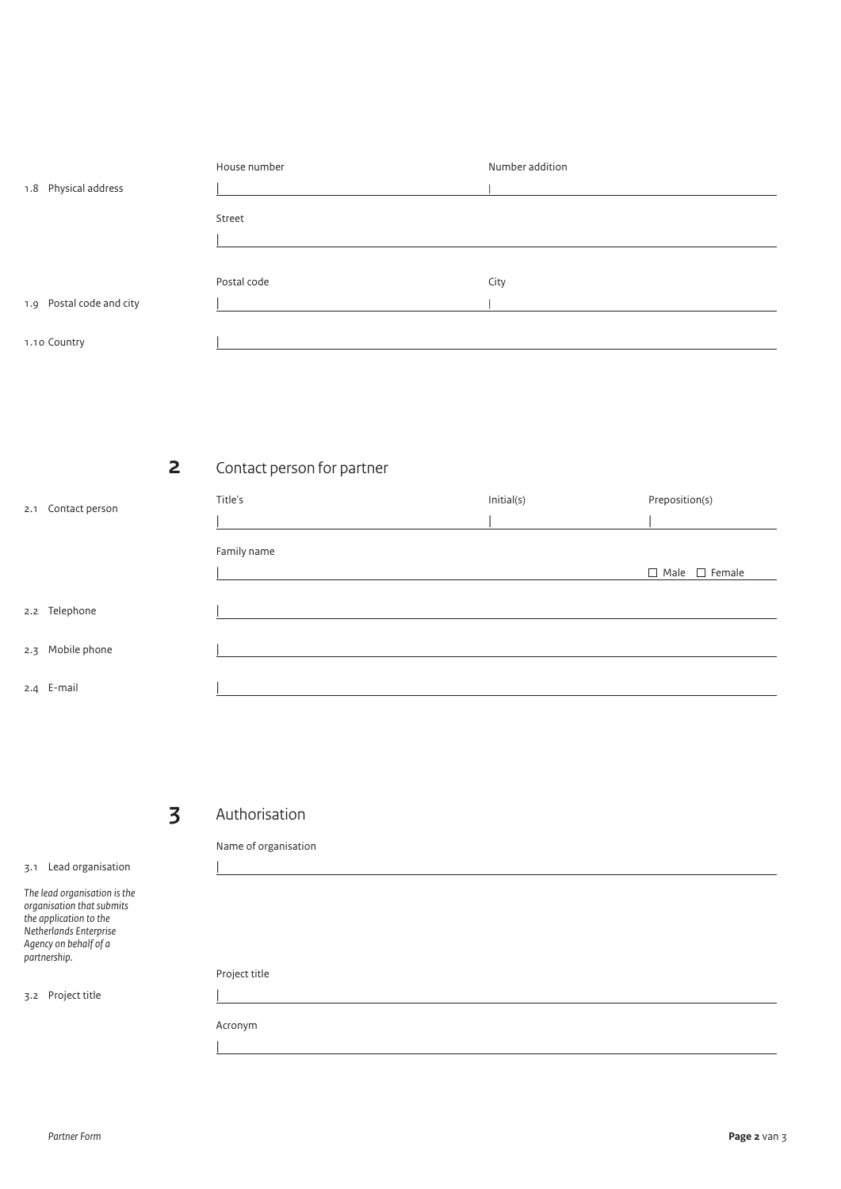| 1.8 Physical address     | House number | Number addition |
|--------------------------|--------------|-----------------|
|                          | Street       |                 |
|                          | Postal code  | City            |
| 1.9 Postal code and city |              |                 |
| 1.10 Country             |              |                 |

## **2** Contact person for partner

| 2.1 Contact person | Title's     | Initial(s) | Preposition(s)            |
|--------------------|-------------|------------|---------------------------|
|                    | Family name |            |                           |
|                    |             |            | $\Box$ Male $\Box$ Female |
| 2.2 Telephone      |             |            |                           |
| 2.3 Mobile phone   |             |            |                           |
| 2.4 E-mail         |             |            |                           |

## **3** Authorisation

|

3.1 Lead organisation

*The lead organisation is the organisation that submits the application to the Netherlands Enterprise Agency on behalf of a partnership.*

3.2 Project title

Name of organisation

Project title

Acronym

|

|